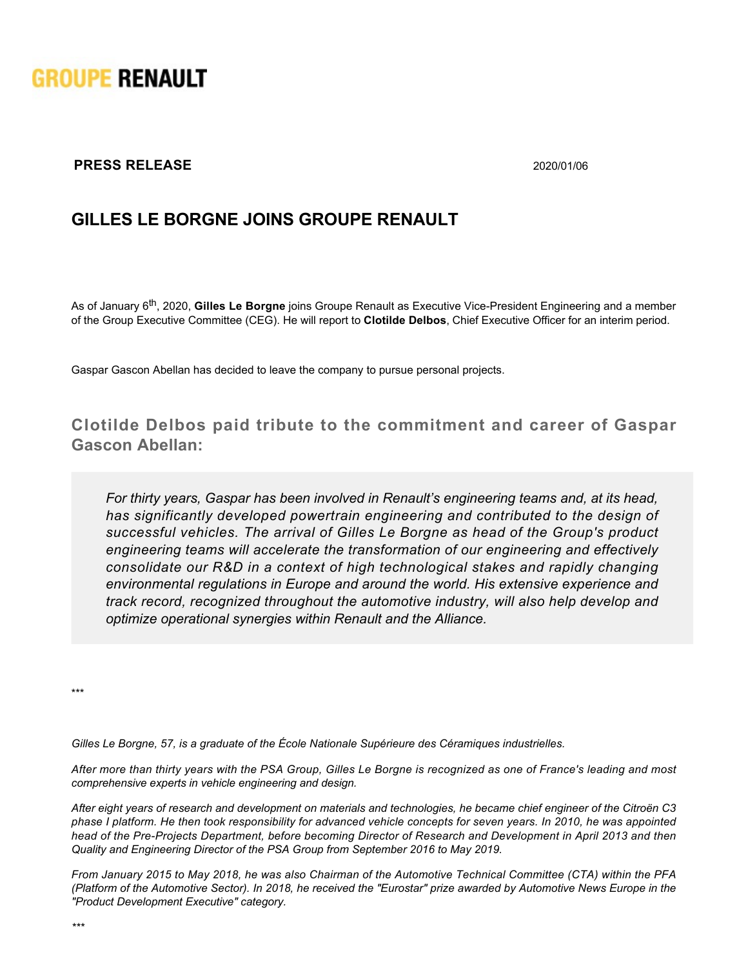

## **PRESS RELEASE** 2020/01/06

## **GILLES LE BORGNE JOINS GROUPE RENAULT**

As of January 6<sup>th</sup>, 2020, Gilles Le Borgne joins Groupe Renault as Executive Vice-President Engineering and a member of the Group Executive Committee (CEG). He will report to **Clotilde Delbos**, Chief Executive Officer for an interim period.

Gaspar Gascon Abellan has decided to leave the company to pursue personal projects.

**Clotilde Delbos paid tribute to the commitment and career of Gaspar Gascon Abellan:**

*For thirty years, Gaspar has been involved in Renault's engineering teams and, at its head, has significantly developed powertrain engineering and contributed to the design of successful vehicles. The arrival of Gilles Le Borgne as head of the Group's product engineering teams will accelerate the transformation of our engineering and effectively consolidate our R&D in a context of high technological stakes and rapidly changing environmental regulations in Europe and around the world. His extensive experience and track record, recognized throughout the automotive industry, will also help develop and optimize operational synergies within Renault and the Alliance.*

\*\*\*

*Gilles Le Borgne, 57, is a graduate of the École Nationale Supérieure des Céramiques industrielles.*

*After more than thirty years with the PSA Group, Gilles Le Borgne is recognized as one of France's leading and most comprehensive experts in vehicle engineering and design.*

*After eight years of research and development on materials and technologies, he became chief engineer of the Citroën C3 phase I platform. He then took responsibility for advanced vehicle concepts for seven years. In 2010, he was appointed head of the PreProjects Department, before becoming Director of Research and Development in April 2013 and then Quality and Engineering Director of the PSA Group from September 2016 to May 2019.*

*From January 2015 to May 2018, he was also Chairman of the Automotive Technical Committee (CTA) within the PFA (Platform of the Automotive Sector). In 2018, he received the "Eurostar" prize awarded by Automotive News Europe in the "Product Development Executive" category.*